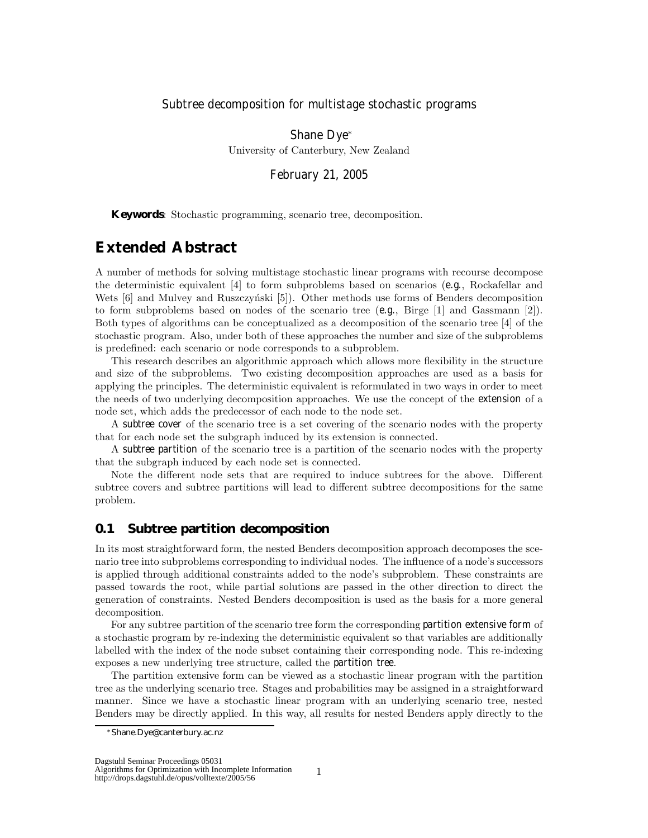### Subtree decomposition for multistage stochastic programs

Shane Dye<sup>∗</sup> University of Canterbury, New Zealand

February 21, 2005

**Keywords**: Stochastic programming, scenario tree, decomposition.

# **Extended Abstract**

A number of methods for solving multistage stochastic linear programs with recourse decompose the deterministic equivalent [4] to form subproblems based on scenarios (*e.g.*, Rockafellar and Wets  $[6]$  and Mulvey and Ruszczyński  $[5]$ . Other methods use forms of Benders decomposition to form subproblems based on nodes of the scenario tree (*e.g.*, Birge [1] and Gassmann [2]). Both types of algorithms can be conceptualized as a decomposition of the scenario tree [4] of the stochastic program. Also, under both of these approaches the number and size of the subproblems is predefined: each scenario or node corresponds to a subproblem.

This research describes an algorithmic approach which allows more flexibility in the structure and size of the subproblems. Two existing decomposition approaches are used as a basis for applying the principles. The deterministic equivalent is reformulated in two ways in order to meet the needs of two underlying decomposition approaches. We use the concept of the *extension* of a node set, which adds the predecessor of each node to the node set.

<sup>A</sup> *subtree cover* of the scenario tree is a set covering of the scenario nodes with the property that for each node set the subgraph induced by its extension is connected.

<sup>A</sup> *subtree partition* of the scenario tree is a partition of the scenario nodes with the property that the subgraph induced by each node set is connected.

Note the different node sets that are required to induce subtrees for the above. Different subtree covers and subtree partitions will lead to different subtree decompositions for the same problem.

## **0.1 Subtree partition decomposition**

In its most straightforward form, the nested Benders decomposition approach decomposes the scenario tree into subproblems corresponding to individual nodes. The influence of a node's successors is applied through additional constraints added to the node's subproblem. These constraints are passed towards the root, while partial solutions are passed in the other direction to direct the generation of constraints. Nested Benders decomposition is used as the basis for a more general decomposition.

For any subtree partition of the scenario tree form the corresponding *partition extensive form* of a stochastic program by re-indexing the deterministic equivalent so that variables are additionally labelled with the index of the node subset containing their corresponding node. This re-indexing exposes a new underlying tree structure, called the *partition tree*.

The partition extensive form can be viewed as a stochastic linear program with the partition tree as the underlying scenario tree. Stages and probabilities may be assigned in a straightforward manner. Since we have a stochastic linear program with an underlying scenario tree, nested Benders may be directly applied. In this way, all results for nested Benders apply directly to the

1

<sup>∗</sup>Shane.Dye@canterbury.ac.nz

Algorithms for Optimization with Incomplete Information

http://drops.dagstuhl.de/opus/volltexte/2005/56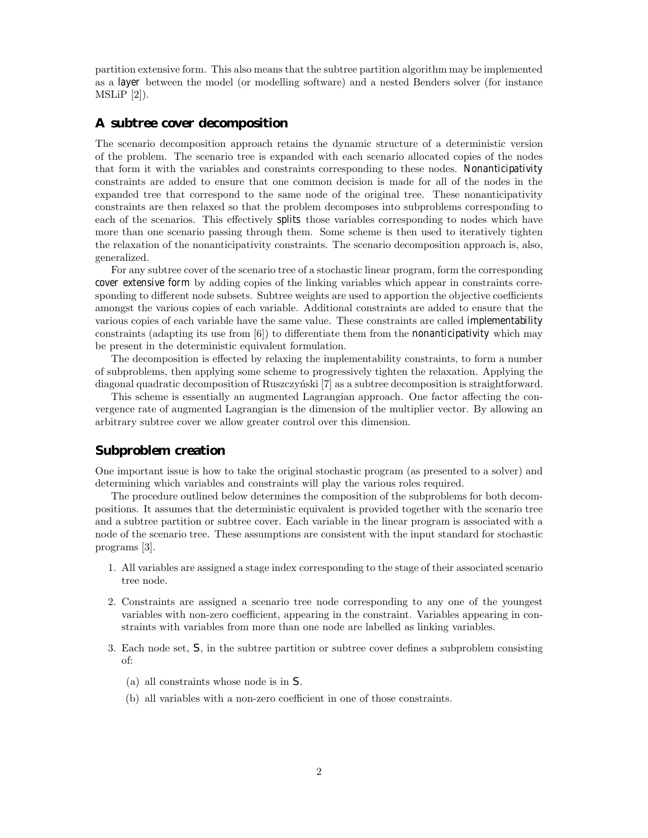partition extensive form. This also means that the subtree partition algorithm may be implemented as a *layer* between the model (or modelling software) and a nested Benders solver (for instance  $MSLiP [2]$ .

#### **A subtree cover decomposition**

The scenario decomposition approach retains the dynamic structure of a deterministic version of the problem. The scenario tree is expanded with each scenario allocated copies of the nodes that form it with the variables and constraints corresponding to these nodes. *Nonanticipativity* constraints are added to ensure that one common decision is made for all of the nodes in the expanded tree that correspond to the same node of the original tree. These nonanticipativity constraints are then relaxed so that the problem decomposes into subproblems corresponding to each of the scenarios. This effectively *splits* those variables corresponding to nodes which have more than one scenario passing through them. Some scheme is then used to iteratively tighten the relaxation of the nonanticipativity constraints. The scenario decomposition approach is, also, generalized.

For any subtree cover of the scenario tree of a stochastic linear program, form the corresponding *cover extensive form* by adding copies of the linking variables which appear in constraints corresponding to different node subsets. Subtree weights are used to apportion the objective coefficients amongst the various copies of each variable. Additional constraints are added to ensure that the various copies of each variable have the same value. These constraints are called *implementability* constraints (adapting its use from [6]) to differentiate them from the *nonanticipativity* which may be present in the deterministic equivalent formulation.

The decomposition is effected by relaxing the implementability constraints, to form a number of subproblems, then applying some scheme to progressively tighten the relaxation. Applying the diagonal quadratic decomposition of Ruszczyński [7] as a subtree decomposition is straightforward.

This scheme is essentially an augmented Lagrangian approach. One factor affecting the convergence rate of augmented Lagrangian is the dimension of the multiplier vector. By allowing an arbitrary subtree cover we allow greater control over this dimension.

#### **Subproblem creation**

One important issue is how to take the original stochastic program (as presented to a solver) and determining which variables and constraints will play the various roles required.

The procedure outlined below determines the composition of the subproblems for both decompositions. It assumes that the deterministic equivalent is provided together with the scenario tree and a subtree partition or subtree cover. Each variable in the linear program is associated with a node of the scenario tree. These assumptions are consistent with the input standard for stochastic programs [3].

- 1. All variables are assigned a stage index corresponding to the stage of their associated scenario tree node.
- 2. Constraints are assigned a scenario tree node corresponding to any one of the youngest variables with non-zero coefficient, appearing in the constraint. Variables appearing in constraints with variables from more than one node are labelled as linking variables.
- 3. Each node set, *S*, in the subtree partition or subtree cover defines a subproblem consisting of:
	- (a) all constraints whose node is in *S*.
	- (b) all variables with a non-zero coefficient in one of those constraints.